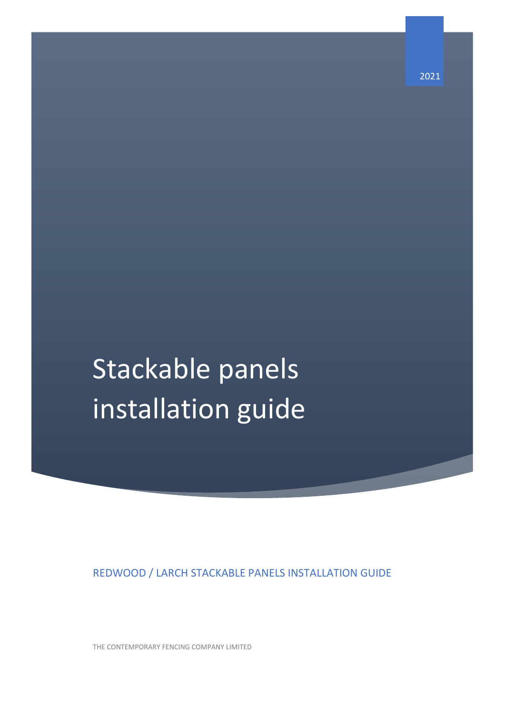REDWOOD / LARCH STACKABLE PANELS INSTALLATION GUIDE

THE CONTEMPORARY FENCING COMPANY LIMITED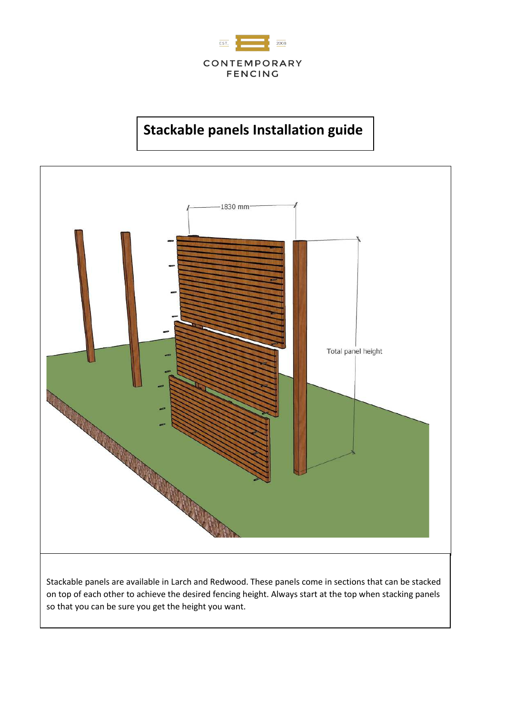



Stackable panels are available in Larch and Redwood. These panels come in sections that can be stacked on top of each other to achieve the desired fencing height. Always start at the top when stacking panels so that you can be sure you get the height you want.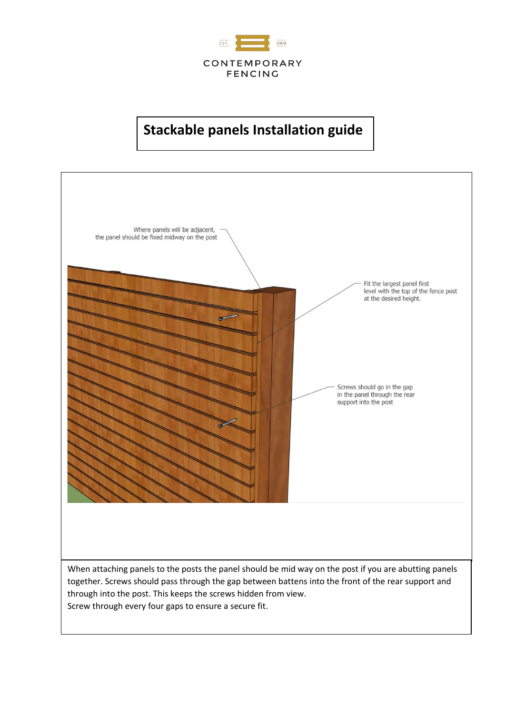

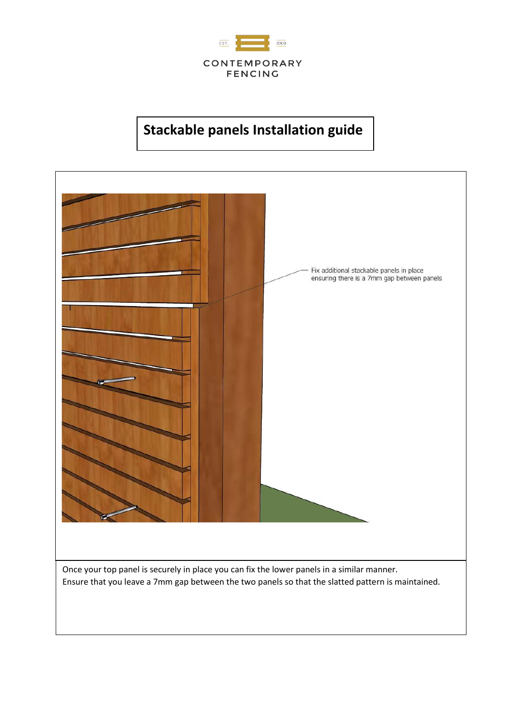

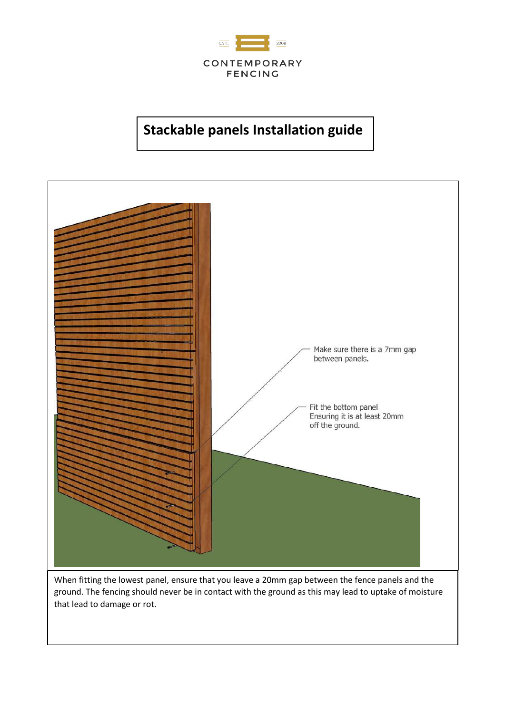



When fitting the lowest panel, ensure that you leave a 20mm gap between the fence panels and the ground. The fencing should never be in contact with the ground as this may lead to uptake of moisture that lead to damage or rot.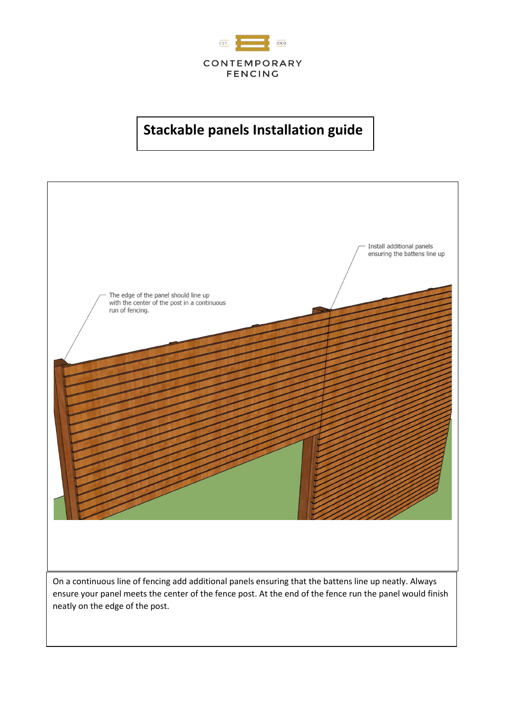